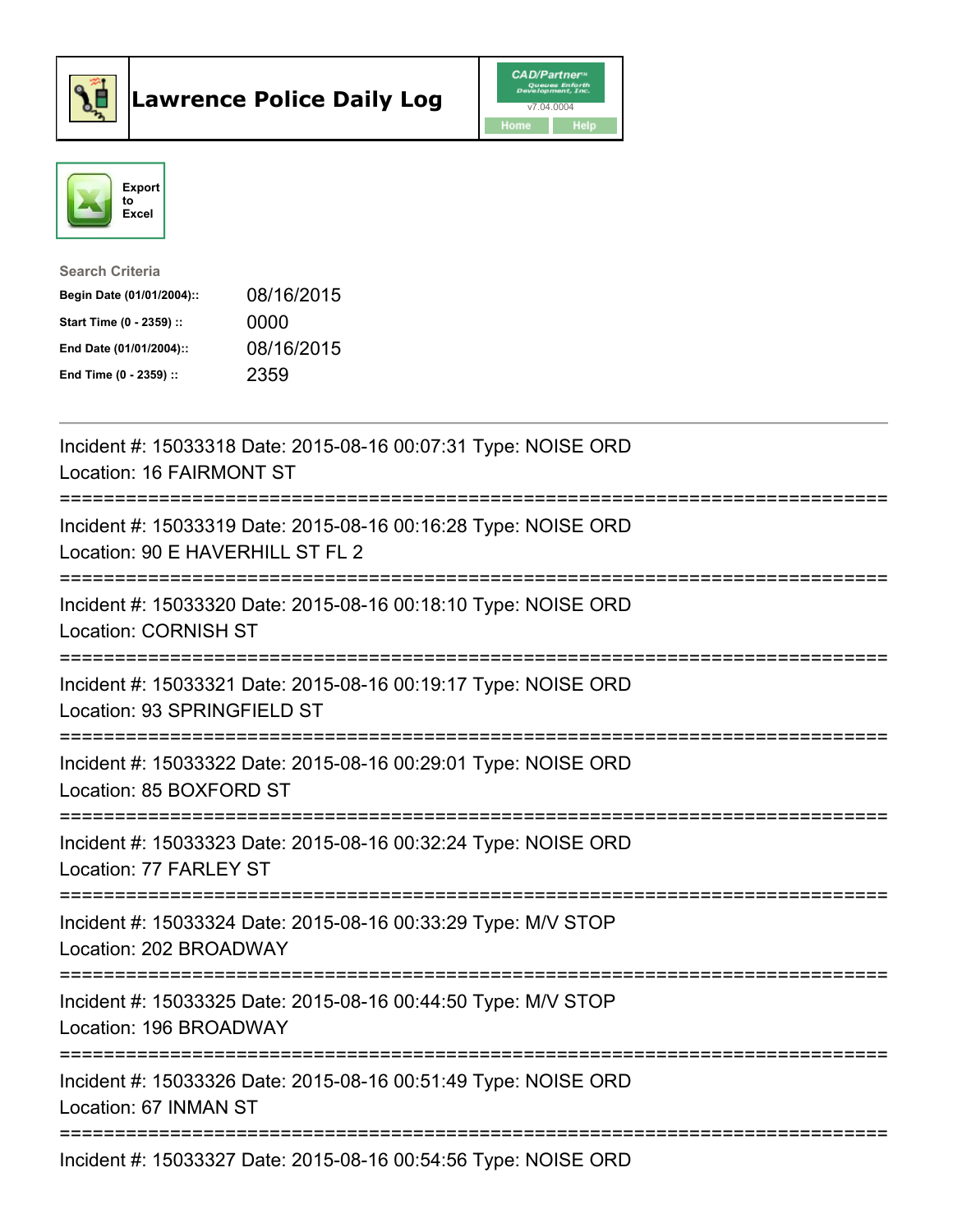



| <b>Search Criteria</b>    |            |
|---------------------------|------------|
| Begin Date (01/01/2004):: | 08/16/2015 |
| Start Time (0 - 2359) ::  | 0000       |
| End Date (01/01/2004)::   | 08/16/2015 |
| End Time $(0 - 2359)$ :   | 2359       |

| Incident #: 15033318 Date: 2015-08-16 00:07:31 Type: NOISE ORD<br>Location: 16 FAIRMONT ST         |
|----------------------------------------------------------------------------------------------------|
| Incident #: 15033319 Date: 2015-08-16 00:16:28 Type: NOISE ORD<br>Location: 90 E HAVERHILL ST FL 2 |
| Incident #: 15033320 Date: 2015-08-16 00:18:10 Type: NOISE ORD<br><b>Location: CORNISH ST</b>      |
| Incident #: 15033321 Date: 2015-08-16 00:19:17 Type: NOISE ORD<br>Location: 93 SPRINGFIELD ST      |
| Incident #: 15033322 Date: 2015-08-16 00:29:01 Type: NOISE ORD<br>Location: 85 BOXFORD ST          |
| Incident #: 15033323 Date: 2015-08-16 00:32:24 Type: NOISE ORD<br>Location: 77 FARLEY ST           |
| Incident #: 15033324 Date: 2015-08-16 00:33:29 Type: M/V STOP<br>Location: 202 BROADWAY            |
| Incident #: 15033325 Date: 2015-08-16 00:44:50 Type: M/V STOP<br>Location: 196 BROADWAY            |
| Incident #: 15033326 Date: 2015-08-16 00:51:49 Type: NOISE ORD<br>Location: 67 INMAN ST            |
| Incident #: 15033327 Date: 2015-08-16 00:54:56 Type: NOISE ORD                                     |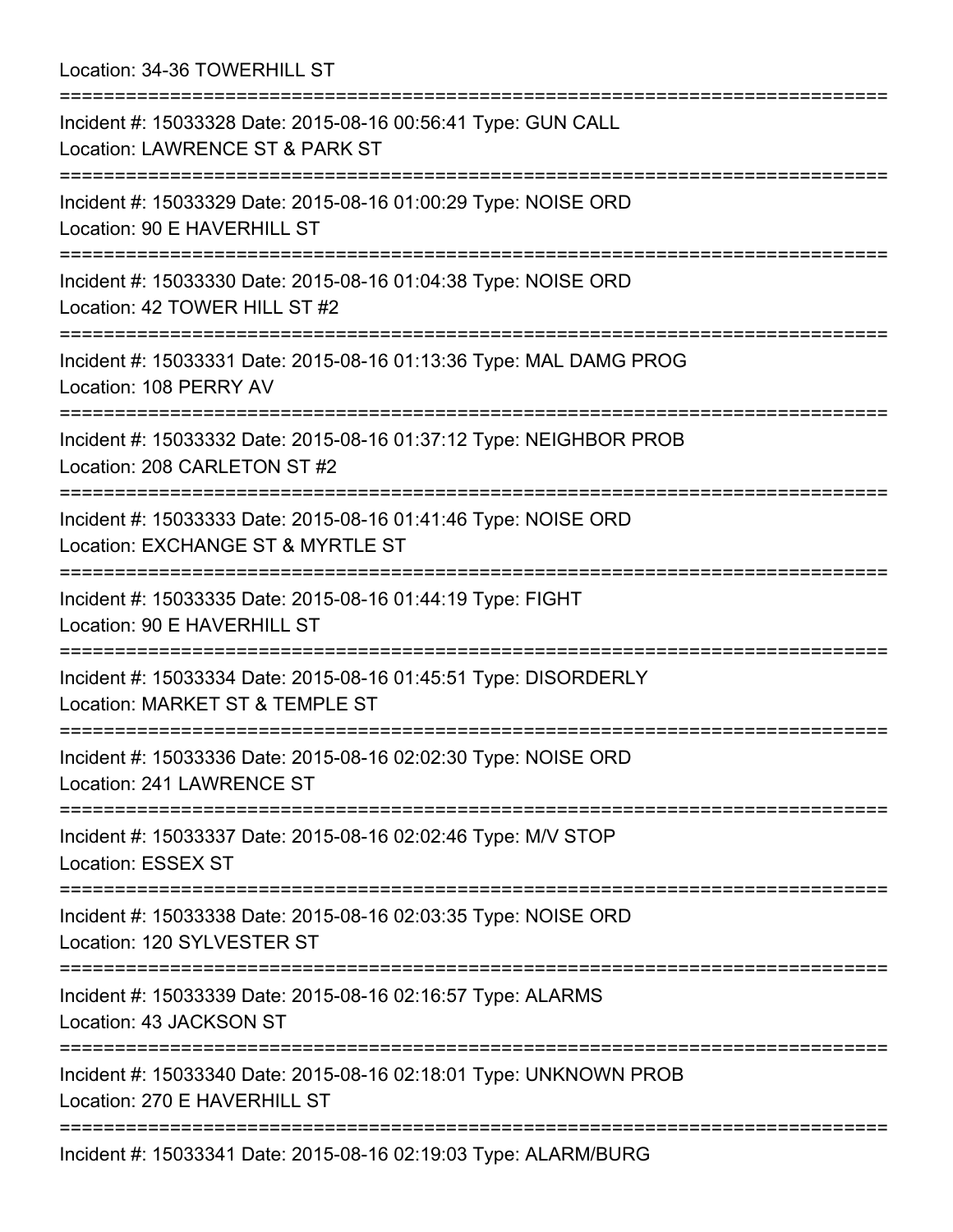Location: 34-36 TOWERHILL ST

| Incident #: 15033328 Date: 2015-08-16 00:56:41 Type: GUN CALL<br>Location: LAWRENCE ST & PARK ST                    |
|---------------------------------------------------------------------------------------------------------------------|
| Incident #: 15033329 Date: 2015-08-16 01:00:29 Type: NOISE ORD<br>Location: 90 E HAVERHILL ST                       |
| Incident #: 15033330 Date: 2015-08-16 01:04:38 Type: NOISE ORD<br>Location: 42 TOWER HILL ST #2<br>================ |
| Incident #: 15033331 Date: 2015-08-16 01:13:36 Type: MAL DAMG PROG<br>Location: 108 PERRY AV                        |
| Incident #: 15033332 Date: 2015-08-16 01:37:12 Type: NEIGHBOR PROB<br>Location: 208 CARLETON ST #2                  |
| Incident #: 15033333 Date: 2015-08-16 01:41:46 Type: NOISE ORD<br>Location: EXCHANGE ST & MYRTLE ST                 |
| Incident #: 15033335 Date: 2015-08-16 01:44:19 Type: FIGHT<br>Location: 90 E HAVERHILL ST                           |
| Incident #: 15033334 Date: 2015-08-16 01:45:51 Type: DISORDERLY<br>Location: MARKET ST & TEMPLE ST                  |
| Incident #: 15033336 Date: 2015-08-16 02:02:30 Type: NOISE ORD<br>Location: 241 LAWRENCE ST                         |
| Incident #: 15033337 Date: 2015-08-16 02:02:46 Type: M/V STOP<br>Location: ESSEX ST                                 |
| Incident #: 15033338 Date: 2015-08-16 02:03:35 Type: NOISE ORD<br>Location: 120 SYLVESTER ST                        |
| Incident #: 15033339 Date: 2015-08-16 02:16:57 Type: ALARMS<br>Location: 43 JACKSON ST                              |
| Incident #: 15033340 Date: 2015-08-16 02:18:01 Type: UNKNOWN PROB<br>Location: 270 E HAVERHILL ST                   |
| Incident #: 15033341 Date: 2015-08-16 02:19:03 Type: ALARM/BURG                                                     |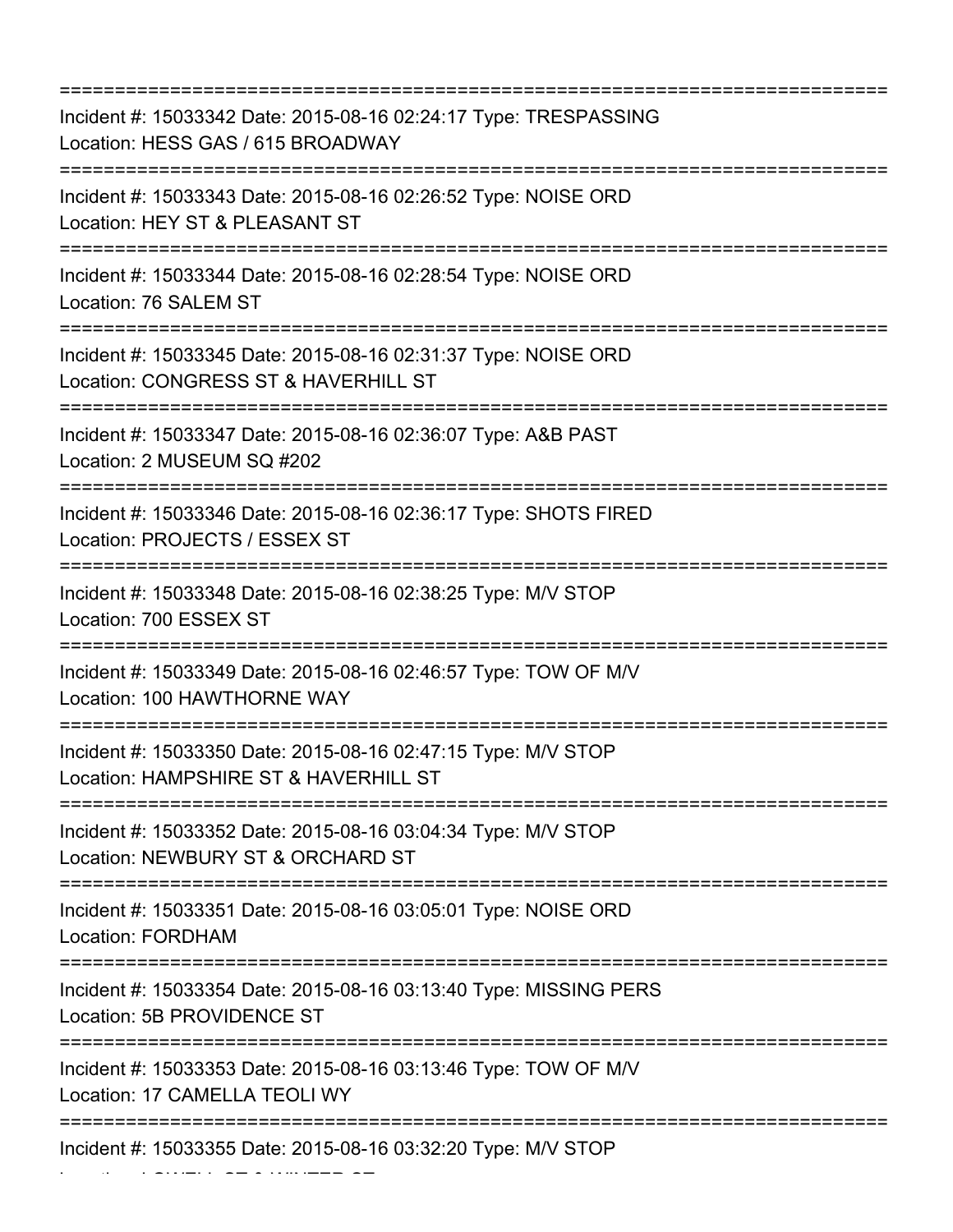=========================================================================== Incident #: 15033342 Date: 2015-08-16 02:24:17 Type: TRESPASSING Location: HESS GAS / 615 BROADWAY =========================================================================== Incident #: 15033343 Date: 2015-08-16 02:26:52 Type: NOISE ORD Location: HEY ST & PLEASANT ST =========================================================================== Incident #: 15033344 Date: 2015-08-16 02:28:54 Type: NOISE ORD Location: 76 SALEM ST =========================================================================== Incident #: 15033345 Date: 2015-08-16 02:31:37 Type: NOISE ORD Location: CONGRESS ST & HAVERHILL ST =========================================================================== Incident #: 15033347 Date: 2015-08-16 02:36:07 Type: A&B PAST Location: 2 MUSEUM SQ #202 =========================================================================== Incident #: 15033346 Date: 2015-08-16 02:36:17 Type: SHOTS FIRED Location: PROJECTS / ESSEX ST =========================================================================== Incident #: 15033348 Date: 2015-08-16 02:38:25 Type: M/V STOP Location: 700 ESSEX ST =========================================================================== Incident #: 15033349 Date: 2015-08-16 02:46:57 Type: TOW OF M/V Location: 100 HAWTHORNE WAY =========================================================================== Incident #: 15033350 Date: 2015-08-16 02:47:15 Type: M/V STOP Location: HAMPSHIRE ST & HAVERHILL ST =========================================================================== Incident #: 15033352 Date: 2015-08-16 03:04:34 Type: M/V STOP Location: NEWBURY ST & ORCHARD ST =========================================================================== Incident #: 15033351 Date: 2015-08-16 03:05:01 Type: NOISE ORD Location: FORDHAM =========================================================================== Incident #: 15033354 Date: 2015-08-16 03:13:40 Type: MISSING PERS Location: 5B PROVIDENCE ST =========================================================================== Incident #: 15033353 Date: 2015-08-16 03:13:46 Type: TOW OF M/V Location: 17 CAMELLA TEOLI WY =========================================================================== Incident #: 15033355 Date: 2015-08-16 03:32:20 Type: M/V STOP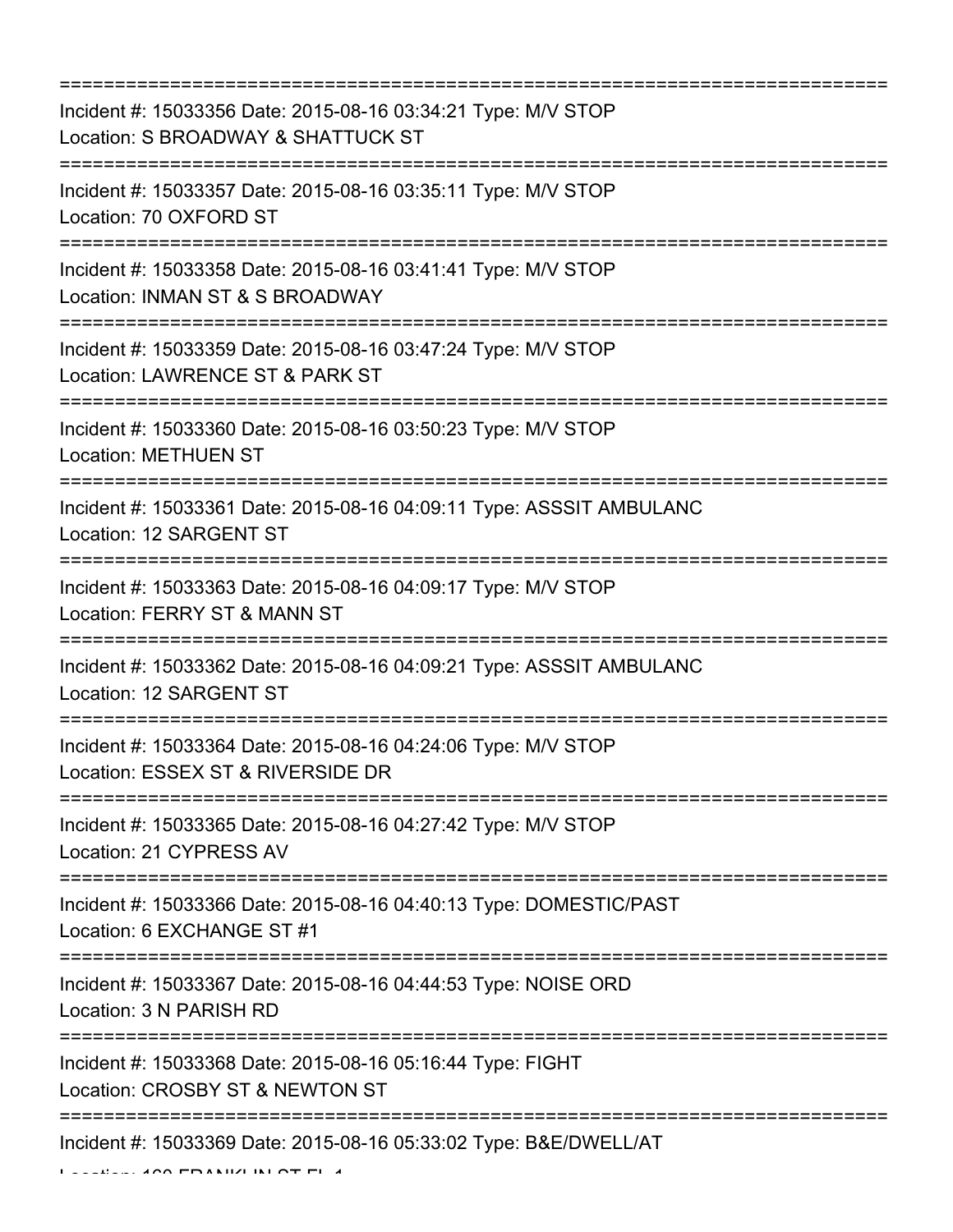=========================================================================== Incident #: 15033356 Date: 2015-08-16 03:34:21 Type: M/V STOP Location: S BROADWAY & SHATTUCK ST =========================================================================== Incident #: 15033357 Date: 2015-08-16 03:35:11 Type: M/V STOP Location: 70 OXFORD ST =========================================================================== Incident #: 15033358 Date: 2015-08-16 03:41:41 Type: M/V STOP Location: INMAN ST & S BROADWAY =========================================================================== Incident #: 15033359 Date: 2015-08-16 03:47:24 Type: M/V STOP Location: LAWRENCE ST & PARK ST =========================================================================== Incident #: 15033360 Date: 2015-08-16 03:50:23 Type: M/V STOP Location: METHUEN ST =========================================================================== Incident #: 15033361 Date: 2015-08-16 04:09:11 Type: ASSSIT AMBULANC Location: 12 SARGENT ST =========================================================================== Incident #: 15033363 Date: 2015-08-16 04:09:17 Type: M/V STOP Location: FERRY ST & MANN ST =========================================================================== Incident #: 15033362 Date: 2015-08-16 04:09:21 Type: ASSSIT AMBULANC Location: 12 SARGENT ST =========================================================================== Incident #: 15033364 Date: 2015-08-16 04:24:06 Type: M/V STOP Location: ESSEX ST & RIVERSIDE DR =========================================================================== Incident #: 15033365 Date: 2015-08-16 04:27:42 Type: M/V STOP Location: 21 CYPRESS AV =========================================================================== Incident #: 15033366 Date: 2015-08-16 04:40:13 Type: DOMESTIC/PAST Location: 6 EXCHANGE ST #1 =========================================================================== Incident #: 15033367 Date: 2015-08-16 04:44:53 Type: NOISE ORD Location: 3 N PARISH RD =========================================================================== Incident #: 15033368 Date: 2015-08-16 05:16:44 Type: FIGHT Location: CROSBY ST & NEWTON ST =========================================================================== Incident #: 15033369 Date: 2015-08-16 05:33:02 Type: B&E/DWELL/AT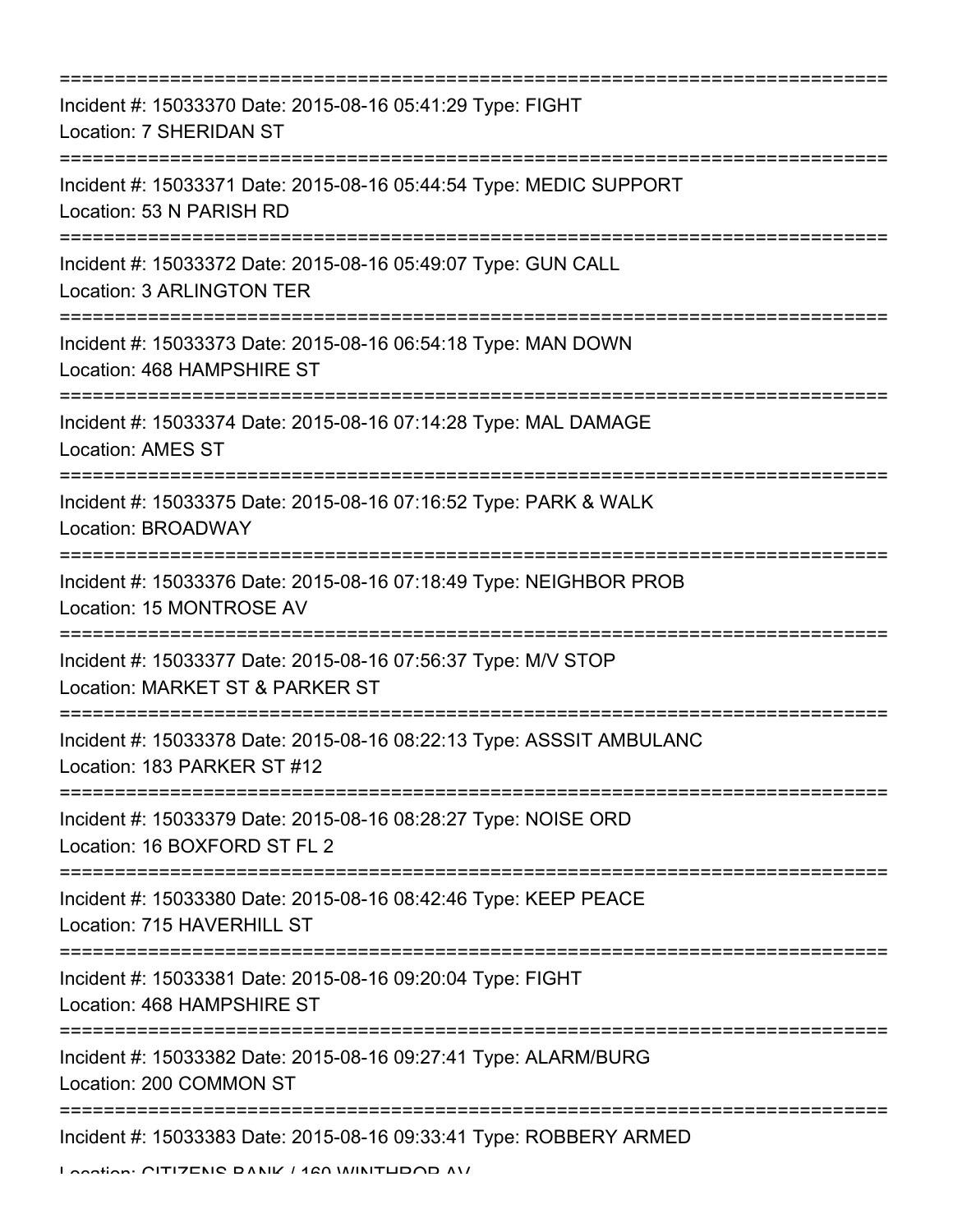| =======================                                                                             |
|-----------------------------------------------------------------------------------------------------|
| Incident #: 15033370 Date: 2015-08-16 05:41:29 Type: FIGHT<br>Location: 7 SHERIDAN ST               |
| Incident #: 15033371 Date: 2015-08-16 05:44:54 Type: MEDIC SUPPORT<br>Location: 53 N PARISH RD      |
| Incident #: 15033372 Date: 2015-08-16 05:49:07 Type: GUN CALL<br>Location: 3 ARLINGTON TER          |
| Incident #: 15033373 Date: 2015-08-16 06:54:18 Type: MAN DOWN<br>Location: 468 HAMPSHIRE ST         |
| Incident #: 15033374 Date: 2015-08-16 07:14:28 Type: MAL DAMAGE<br><b>Location: AMES ST</b>         |
| Incident #: 15033375 Date: 2015-08-16 07:16:52 Type: PARK & WALK<br>Location: BROADWAY              |
| Incident #: 15033376 Date: 2015-08-16 07:18:49 Type: NEIGHBOR PROB<br>Location: 15 MONTROSE AV      |
| Incident #: 15033377 Date: 2015-08-16 07:56:37 Type: M/V STOP<br>Location: MARKET ST & PARKER ST    |
| Incident #: 15033378 Date: 2015-08-16 08:22:13 Type: ASSSIT AMBULANC<br>Location: 183 PARKER ST #12 |
| Incident #: 15033379 Date: 2015-08-16 08:28:27 Type: NOISE ORD<br>Location: 16 BOXFORD ST FL 2      |
| Incident #: 15033380 Date: 2015-08-16 08:42:46 Type: KEEP PEACE<br>Location: 715 HAVERHILL ST       |
| Incident #: 15033381 Date: 2015-08-16 09:20:04 Type: FIGHT<br>Location: 468 HAMPSHIRE ST            |
| Incident #: 15033382 Date: 2015-08-16 09:27:41 Type: ALARM/BURG<br>Location: 200 COMMON ST          |
| Incident #: 15033383 Date: 2015-08-16 09:33:41 Type: ROBBERY ARMED                                  |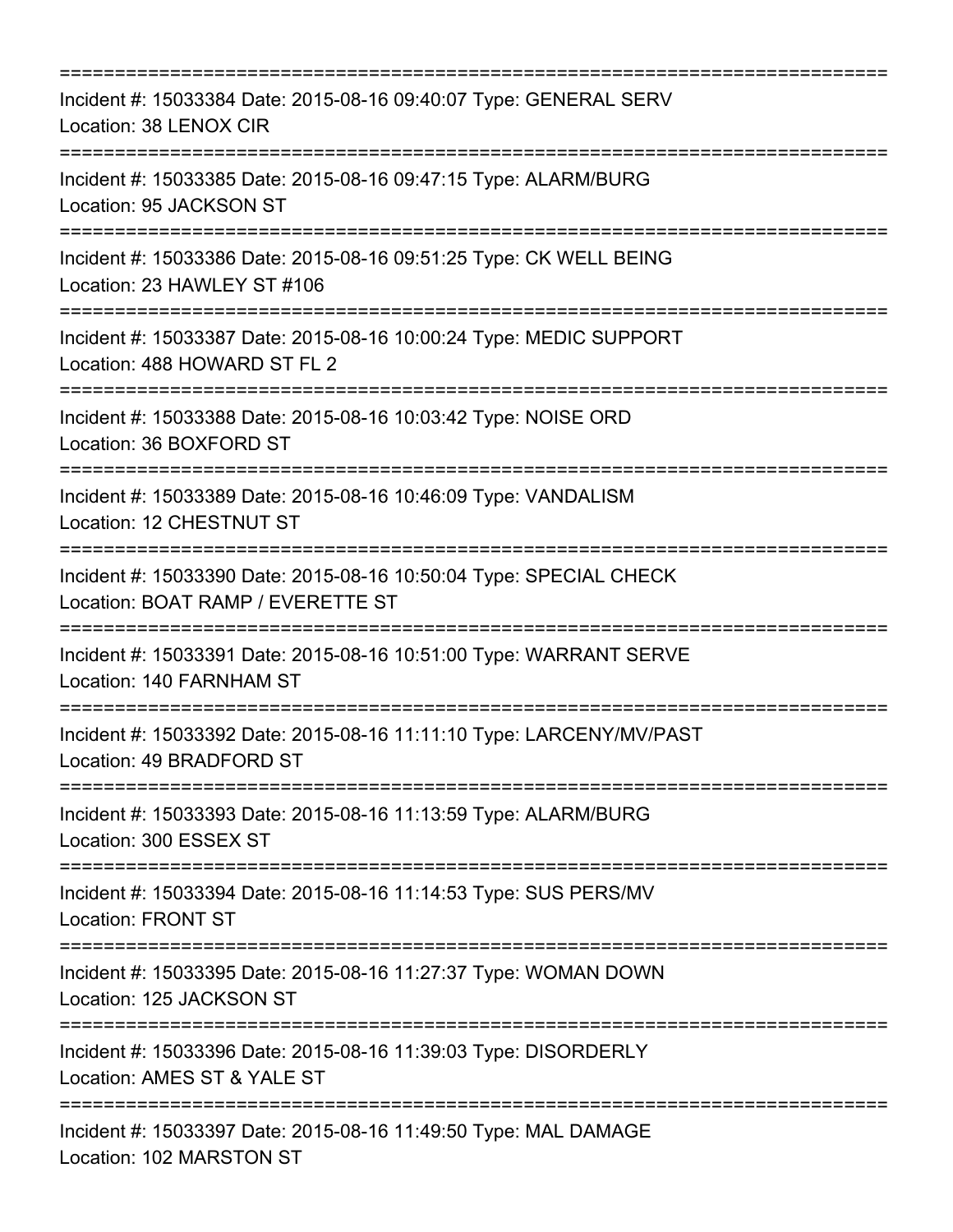| ===========================                                                                             |
|---------------------------------------------------------------------------------------------------------|
| Incident #: 15033384 Date: 2015-08-16 09:40:07 Type: GENERAL SERV<br>Location: 38 LENOX CIR             |
| Incident #: 15033385 Date: 2015-08-16 09:47:15 Type: ALARM/BURG<br>Location: 95 JACKSON ST              |
| Incident #: 15033386 Date: 2015-08-16 09:51:25 Type: CK WELL BEING<br>Location: 23 HAWLEY ST #106       |
| Incident #: 15033387 Date: 2015-08-16 10:00:24 Type: MEDIC SUPPORT<br>Location: 488 HOWARD ST FL 2      |
| Incident #: 15033388 Date: 2015-08-16 10:03:42 Type: NOISE ORD<br>Location: 36 BOXFORD ST               |
| Incident #: 15033389 Date: 2015-08-16 10:46:09 Type: VANDALISM<br>Location: 12 CHESTNUT ST              |
| Incident #: 15033390 Date: 2015-08-16 10:50:04 Type: SPECIAL CHECK<br>Location: BOAT RAMP / EVERETTE ST |
| Incident #: 15033391 Date: 2015-08-16 10:51:00 Type: WARRANT SERVE<br>Location: 140 FARNHAM ST          |
| Incident #: 15033392 Date: 2015-08-16 11:11:10 Type: LARCENY/MV/PAST<br>Location: 49 BRADFORD ST        |
| Incident #: 15033393 Date: 2015-08-16 11:13:59 Type: ALARM/BURG<br>Location: 300 ESSEX ST               |
| Incident #: 15033394 Date: 2015-08-16 11:14:53 Type: SUS PERS/MV<br><b>Location: FRONT ST</b>           |
| Incident #: 15033395 Date: 2015-08-16 11:27:37 Type: WOMAN DOWN<br>Location: 125 JACKSON ST             |
| Incident #: 15033396 Date: 2015-08-16 11:39:03 Type: DISORDERLY<br>Location: AMES ST & YALE ST          |
| Incident #: 15033397 Date: 2015-08-16 11:49:50 Type: MAL DAMAGE<br>Location: 102 MARSTON ST             |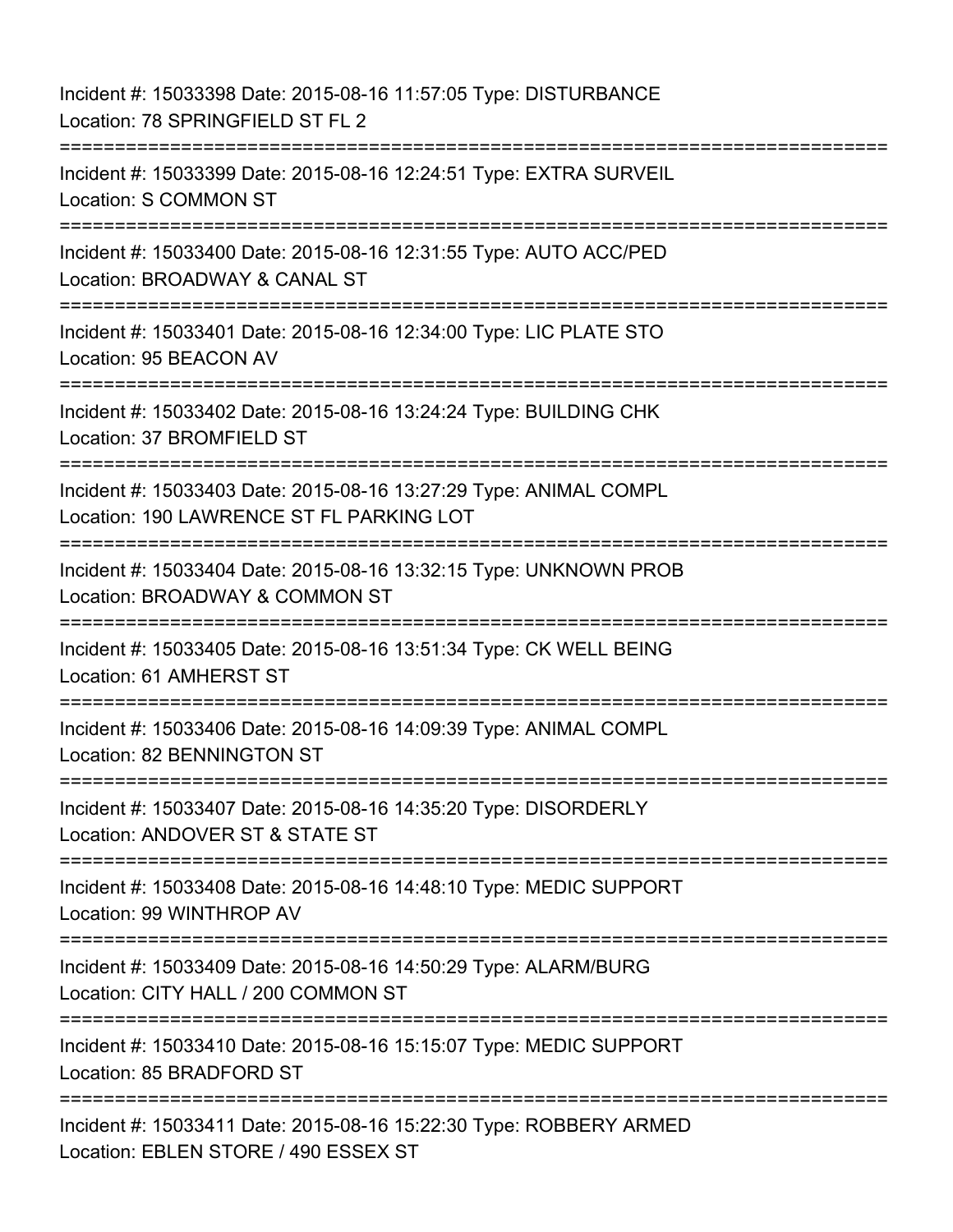Incident #: 15033398 Date: 2015-08-16 11:57:05 Type: DISTURBANCE Location: 78 SPRINGFIELD ST FL 2 =========================================================================== Incident #: 15033399 Date: 2015-08-16 12:24:51 Type: EXTRA SURVEIL Location: S COMMON ST =========================================================================== Incident #: 15033400 Date: 2015-08-16 12:31:55 Type: AUTO ACC/PED Location: BROADWAY & CANAL ST =========================================================================== Incident #: 15033401 Date: 2015-08-16 12:34:00 Type: LIC PLATE STO Location: 95 BEACON AV =========================================================================== Incident #: 15033402 Date: 2015-08-16 13:24:24 Type: BUILDING CHK Location: 37 BROMFIELD ST ============================== Incident #: 15033403 Date: 2015-08-16 13:27:29 Type: ANIMAL COMPL Location: 190 LAWRENCE ST FL PARKING LOT =========================================================================== Incident #: 15033404 Date: 2015-08-16 13:32:15 Type: UNKNOWN PROB Location: BROADWAY & COMMON ST =========================================================================== Incident #: 15033405 Date: 2015-08-16 13:51:34 Type: CK WELL BEING Location: 61 AMHERST ST =========================================================================== Incident #: 15033406 Date: 2015-08-16 14:09:39 Type: ANIMAL COMPL Location: 82 BENNINGTON ST =========================================================================== Incident #: 15033407 Date: 2015-08-16 14:35:20 Type: DISORDERLY Location: ANDOVER ST & STATE ST =========================================================================== Incident #: 15033408 Date: 2015-08-16 14:48:10 Type: MEDIC SUPPORT Location: 99 WINTHROP AV =========================================================================== Incident #: 15033409 Date: 2015-08-16 14:50:29 Type: ALARM/BURG Location: CITY HALL / 200 COMMON ST =========================================================================== Incident #: 15033410 Date: 2015-08-16 15:15:07 Type: MEDIC SUPPORT Location: 85 BRADFORD ST ============================ Incident #: 15033411 Date: 2015-08-16 15:22:30 Type: ROBBERY ARMED Location: EBLEN STORE / 490 ESSEX ST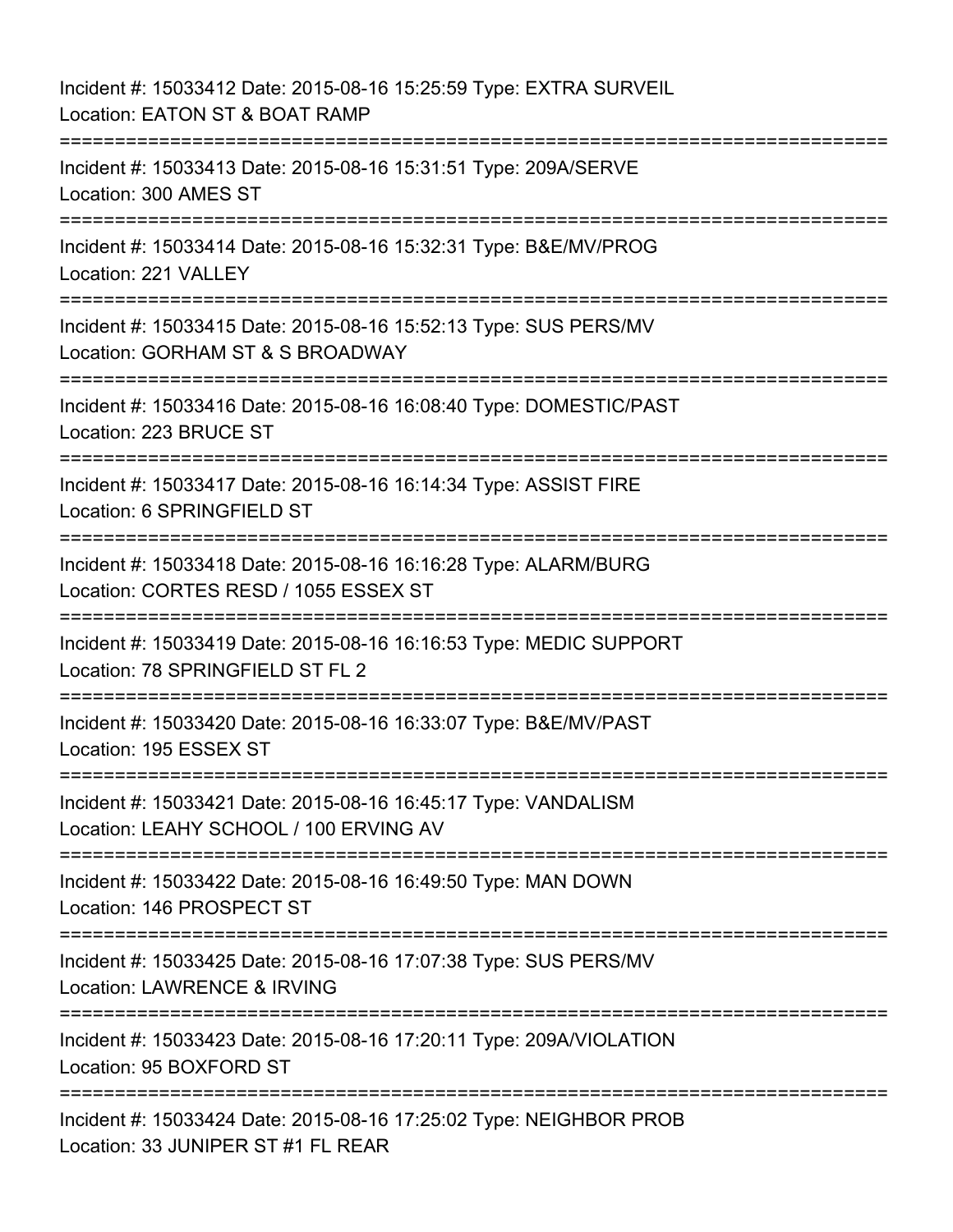Incident #: 15033412 Date: 2015-08-16 15:25:59 Type: EXTRA SURVEIL Location: EATON ST & BOAT RAMP =========================================================================== Incident #: 15033413 Date: 2015-08-16 15:31:51 Type: 209A/SERVE Location: 300 AMES ST =========================================================================== Incident #: 15033414 Date: 2015-08-16 15:32:31 Type: B&E/MV/PROG Location: 221 VALLEY =========================================================================== Incident #: 15033415 Date: 2015-08-16 15:52:13 Type: SUS PERS/MV Location: GORHAM ST & S BROADWAY =========================================================================== Incident #: 15033416 Date: 2015-08-16 16:08:40 Type: DOMESTIC/PAST Location: 223 BRUCE ST =========================================================================== Incident #: 15033417 Date: 2015-08-16 16:14:34 Type: ASSIST FIRE Location: 6 SPRINGFIELD ST =========================================================================== Incident #: 15033418 Date: 2015-08-16 16:16:28 Type: ALARM/BURG Location: CORTES RESD / 1055 ESSEX ST =========================================================================== Incident #: 15033419 Date: 2015-08-16 16:16:53 Type: MEDIC SUPPORT Location: 78 SPRINGFIELD ST FL 2 =========================================================================== Incident #: 15033420 Date: 2015-08-16 16:33:07 Type: B&E/MV/PAST Location: 195 ESSEX ST =========================================================================== Incident #: 15033421 Date: 2015-08-16 16:45:17 Type: VANDALISM Location: LEAHY SCHOOL / 100 ERVING AV =========================================================================== Incident #: 15033422 Date: 2015-08-16 16:49:50 Type: MAN DOWN Location: 146 PROSPECT ST =========================================================================== Incident #: 15033425 Date: 2015-08-16 17:07:38 Type: SUS PERS/MV Location: LAWRENCE & IRVING =========================================================================== Incident #: 15033423 Date: 2015-08-16 17:20:11 Type: 209A/VIOLATION Location: 95 BOXFORD ST =========================================================================== Incident #: 15033424 Date: 2015-08-16 17:25:02 Type: NEIGHBOR PROB Location: 33 JUNIPER ST #1 FL REAR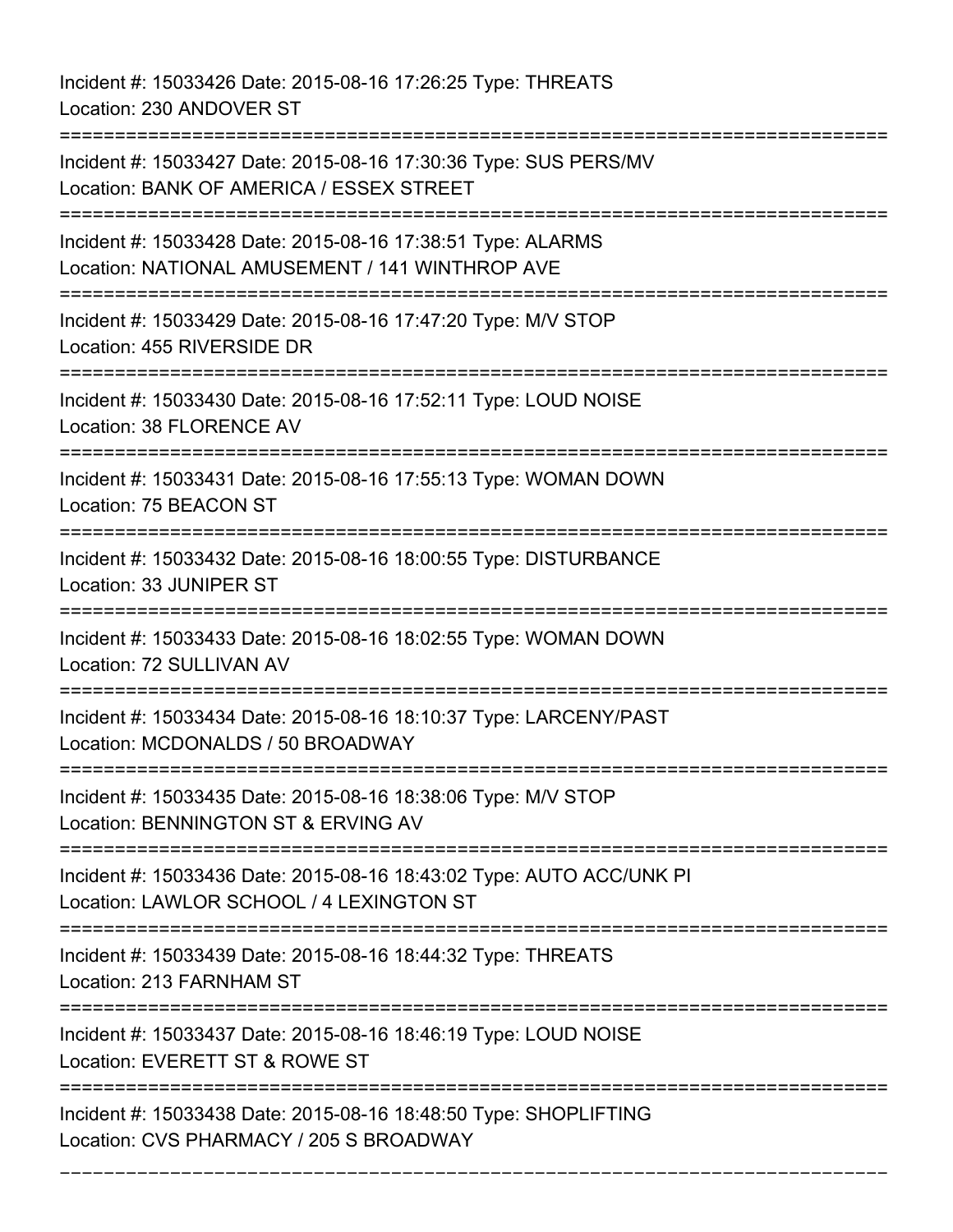Incident #: 15033426 Date: 2015-08-16 17:26:25 Type: THREATS Location: 230 ANDOVER ST

=========================================================================== Incident #: 15033427 Date: 2015-08-16 17:30:36 Type: SUS PERS/MV Location: BANK OF AMERICA / ESSEX STREET =========================================================================== Incident #: 15033428 Date: 2015-08-16 17:38:51 Type: ALARMS Location: NATIONAL AMUSEMENT / 141 WINTHROP AVE =========================================================================== Incident #: 15033429 Date: 2015-08-16 17:47:20 Type: M/V STOP Location: 455 RIVERSIDE DR =========================================================================== Incident #: 15033430 Date: 2015-08-16 17:52:11 Type: LOUD NOISE Location: 38 FLORENCE AV =========================================================================== Incident #: 15033431 Date: 2015-08-16 17:55:13 Type: WOMAN DOWN Location: 75 BEACON ST =========================================================================== Incident #: 15033432 Date: 2015-08-16 18:00:55 Type: DISTURBANCE Location: 33 JUNIPER ST =========================================================================== Incident #: 15033433 Date: 2015-08-16 18:02:55 Type: WOMAN DOWN Location: 72 SULLIVAN AV =========================================================================== Incident #: 15033434 Date: 2015-08-16 18:10:37 Type: LARCENY/PAST Location: MCDONALDS / 50 BROADWAY =========================================================================== Incident #: 15033435 Date: 2015-08-16 18:38:06 Type: M/V STOP Location: BENNINGTON ST & ERVING AV =========================================================================== Incident #: 15033436 Date: 2015-08-16 18:43:02 Type: AUTO ACC/UNK PI Location: LAWLOR SCHOOL / 4 LEXINGTON ST =========================================================================== Incident #: 15033439 Date: 2015-08-16 18:44:32 Type: THREATS Location: 213 FARNHAM ST =========================================================================== Incident #: 15033437 Date: 2015-08-16 18:46:19 Type: LOUD NOISE Location: EVERETT ST & ROWE ST =========================================================================== Incident #: 15033438 Date: 2015-08-16 18:48:50 Type: SHOPLIFTING Location: CVS PHARMACY / 205 S BROADWAY

===========================================================================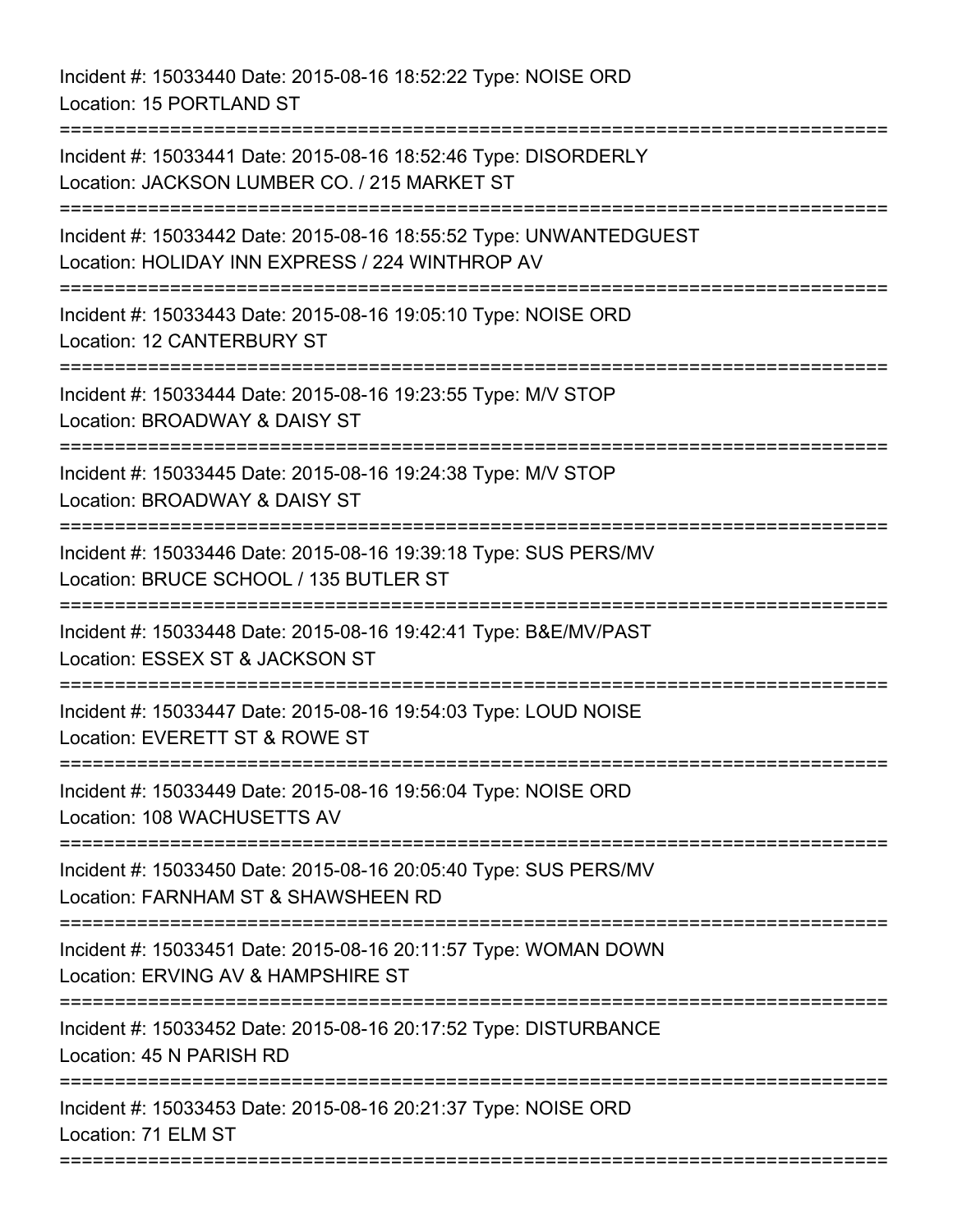Incident #: 15033440 Date: 2015-08-16 18:52:22 Type: NOISE ORD Location: 15 PORTLAND ST =========================================================================== Incident #: 15033441 Date: 2015-08-16 18:52:46 Type: DISORDERLY Location: JACKSON LUMBER CO. / 215 MARKET ST =========================================================================== Incident #: 15033442 Date: 2015-08-16 18:55:52 Type: UNWANTEDGUEST Location: HOLIDAY INN EXPRESS / 224 WINTHROP AV =========================================================================== Incident #: 15033443 Date: 2015-08-16 19:05:10 Type: NOISE ORD Location: 12 CANTERBURY ST =========================================================================== Incident #: 15033444 Date: 2015-08-16 19:23:55 Type: M/V STOP Location: BROADWAY & DAISY ST =========================================================================== Incident #: 15033445 Date: 2015-08-16 19:24:38 Type: M/V STOP Location: BROADWAY & DAISY ST =========================================================================== Incident #: 15033446 Date: 2015-08-16 19:39:18 Type: SUS PERS/MV Location: BRUCE SCHOOL / 135 BUTLER ST =========================================================================== Incident #: 15033448 Date: 2015-08-16 19:42:41 Type: B&E/MV/PAST Location: ESSEX ST & JACKSON ST =========================================================================== Incident #: 15033447 Date: 2015-08-16 19:54:03 Type: LOUD NOISE Location: EVERETT ST & ROWE ST =========================================================================== Incident #: 15033449 Date: 2015-08-16 19:56:04 Type: NOISE ORD Location: 108 WACHUSETTS AV =========================================================================== Incident #: 15033450 Date: 2015-08-16 20:05:40 Type: SUS PERS/MV Location: FARNHAM ST & SHAWSHEEN RD =========================================================================== Incident #: 15033451 Date: 2015-08-16 20:11:57 Type: WOMAN DOWN Location: ERVING AV & HAMPSHIRE ST =========================================================================== Incident #: 15033452 Date: 2015-08-16 20:17:52 Type: DISTURBANCE Location: 45 N PARISH RD =========================================================================== Incident #: 15033453 Date: 2015-08-16 20:21:37 Type: NOISE ORD Location: 71 ELM ST ===========================================================================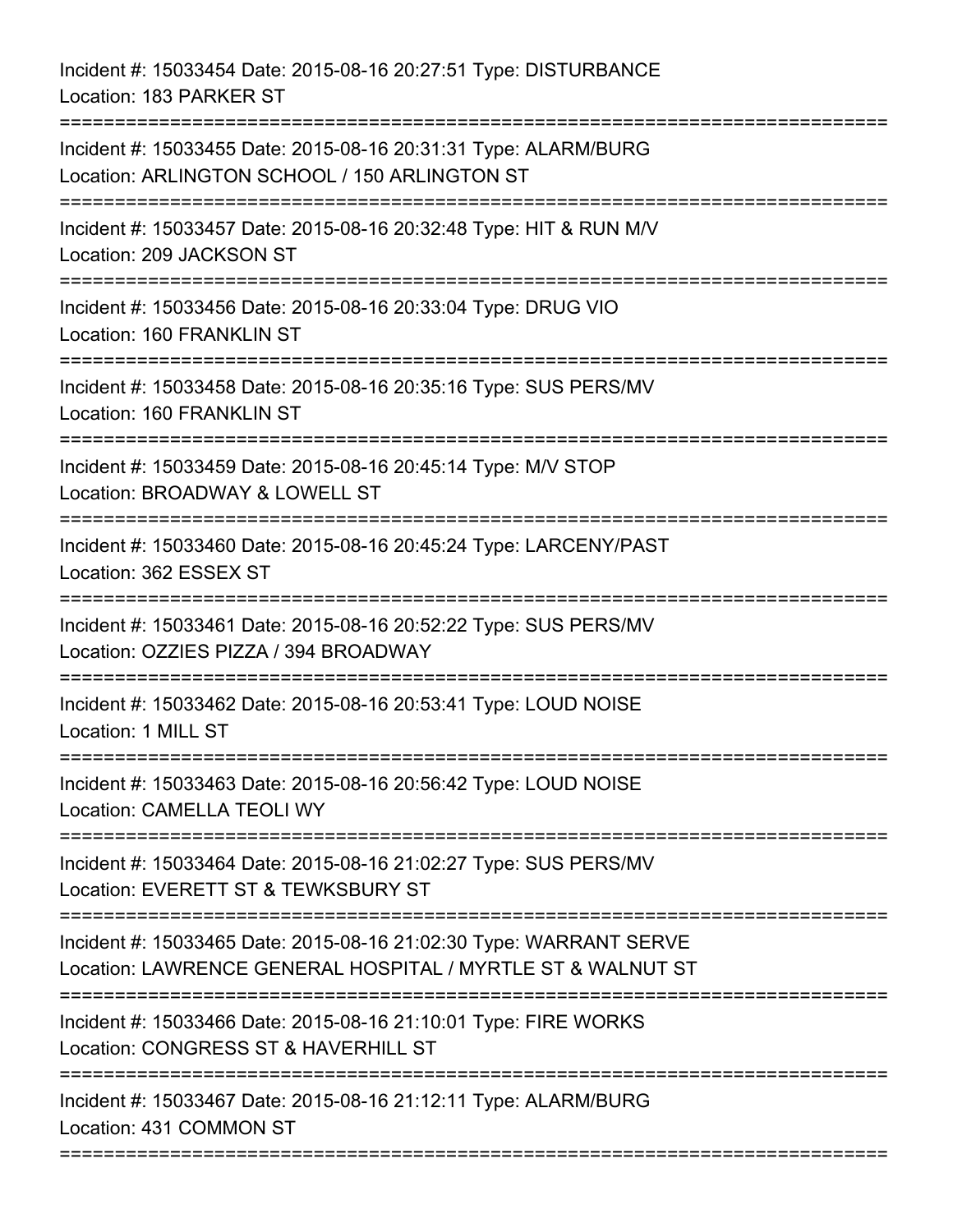Incident #: 15033454 Date: 2015-08-16 20:27:51 Type: DISTURBANCE Location: 183 PARKER ST

=========================================================================== Incident #: 15033455 Date: 2015-08-16 20:31:31 Type: ALARM/BURG Location: ARLINGTON SCHOOL / 150 ARLINGTON ST =========================================================================== Incident #: 15033457 Date: 2015-08-16 20:32:48 Type: HIT & RUN M/V Location: 209 JACKSON ST =========================================================================== Incident #: 15033456 Date: 2015-08-16 20:33:04 Type: DRUG VIO Location: 160 FRANKLIN ST =========================================================================== Incident #: 15033458 Date: 2015-08-16 20:35:16 Type: SUS PERS/MV Location: 160 FRANKLIN ST =========================================================================== Incident #: 15033459 Date: 2015-08-16 20:45:14 Type: M/V STOP Location: BROADWAY & LOWELL ST =========================================================================== Incident #: 15033460 Date: 2015-08-16 20:45:24 Type: LARCENY/PAST Location: 362 ESSEX ST =========================================================================== Incident #: 15033461 Date: 2015-08-16 20:52:22 Type: SUS PERS/MV Location: OZZIES PIZZA / 394 BROADWAY =========================================================================== Incident #: 15033462 Date: 2015-08-16 20:53:41 Type: LOUD NOISE Location: 1 MILL ST =========================================================================== Incident #: 15033463 Date: 2015-08-16 20:56:42 Type: LOUD NOISE Location: CAMELLA TEOLI WY =========================================================================== Incident #: 15033464 Date: 2015-08-16 21:02:27 Type: SUS PERS/MV Location: EVERETT ST & TEWKSBURY ST =========================================================================== Incident #: 15033465 Date: 2015-08-16 21:02:30 Type: WARRANT SERVE Location: LAWRENCE GENERAL HOSPITAL / MYRTLE ST & WALNUT ST =========================================================================== Incident #: 15033466 Date: 2015-08-16 21:10:01 Type: FIRE WORKS Location: CONGRESS ST & HAVERHILL ST =========================================================================== Incident #: 15033467 Date: 2015-08-16 21:12:11 Type: ALARM/BURG Location: 431 COMMON ST ===========================================================================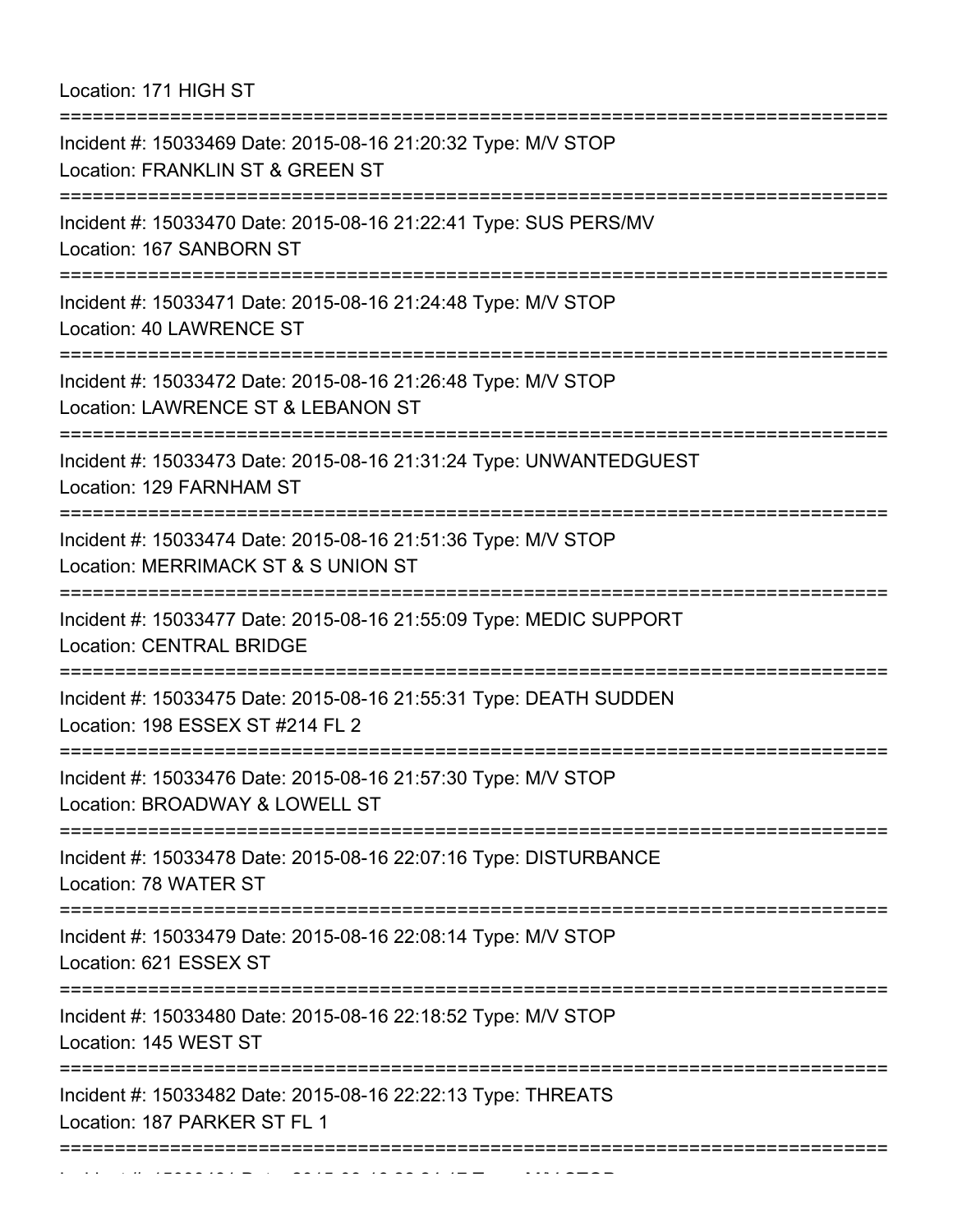Location: 171 HIGH ST

| -------------------------                                                                                                          |
|------------------------------------------------------------------------------------------------------------------------------------|
| Incident #: 15033469 Date: 2015-08-16 21:20:32 Type: M/V STOP<br>Location: FRANKLIN ST & GREEN ST                                  |
| Incident #: 15033470 Date: 2015-08-16 21:22:41 Type: SUS PERS/MV<br>Location: 167 SANBORN ST                                       |
| Incident #: 15033471 Date: 2015-08-16 21:24:48 Type: M/V STOP<br>Location: 40 LAWRENCE ST                                          |
| Incident #: 15033472 Date: 2015-08-16 21:26:48 Type: M/V STOP<br>Location: LAWRENCE ST & LEBANON ST                                |
| Incident #: 15033473 Date: 2015-08-16 21:31:24 Type: UNWANTEDGUEST<br>Location: 129 FARNHAM ST                                     |
| Incident #: 15033474 Date: 2015-08-16 21:51:36 Type: M/V STOP<br>Location: MERRIMACK ST & S UNION ST<br>:======================    |
| Incident #: 15033477 Date: 2015-08-16 21:55:09 Type: MEDIC SUPPORT<br><b>Location: CENTRAL BRIDGE</b><br>========================= |
| Incident #: 15033475 Date: 2015-08-16 21:55:31 Type: DEATH SUDDEN<br>Location: 198 ESSEX ST #214 FL 2                              |
| Incident #: 15033476 Date: 2015-08-16 21:57:30 Type: M/V STOP<br>Location: BROADWAY & LOWELL ST                                    |
| Incident #: 15033478 Date: 2015-08-16 22:07:16 Type: DISTURBANCE<br>Location: 78 WATER ST                                          |
| Incident #: 15033479 Date: 2015-08-16 22:08:14 Type: M/V STOP<br>Location: 621 ESSEX ST                                            |
| Incident #: 15033480 Date: 2015-08-16 22:18:52 Type: M/V STOP<br>Location: 145 WEST ST                                             |
| Incident #: 15033482 Date: 2015-08-16 22:22:13 Type: THREATS<br>Location: 187 PARKER ST FL 1                                       |
|                                                                                                                                    |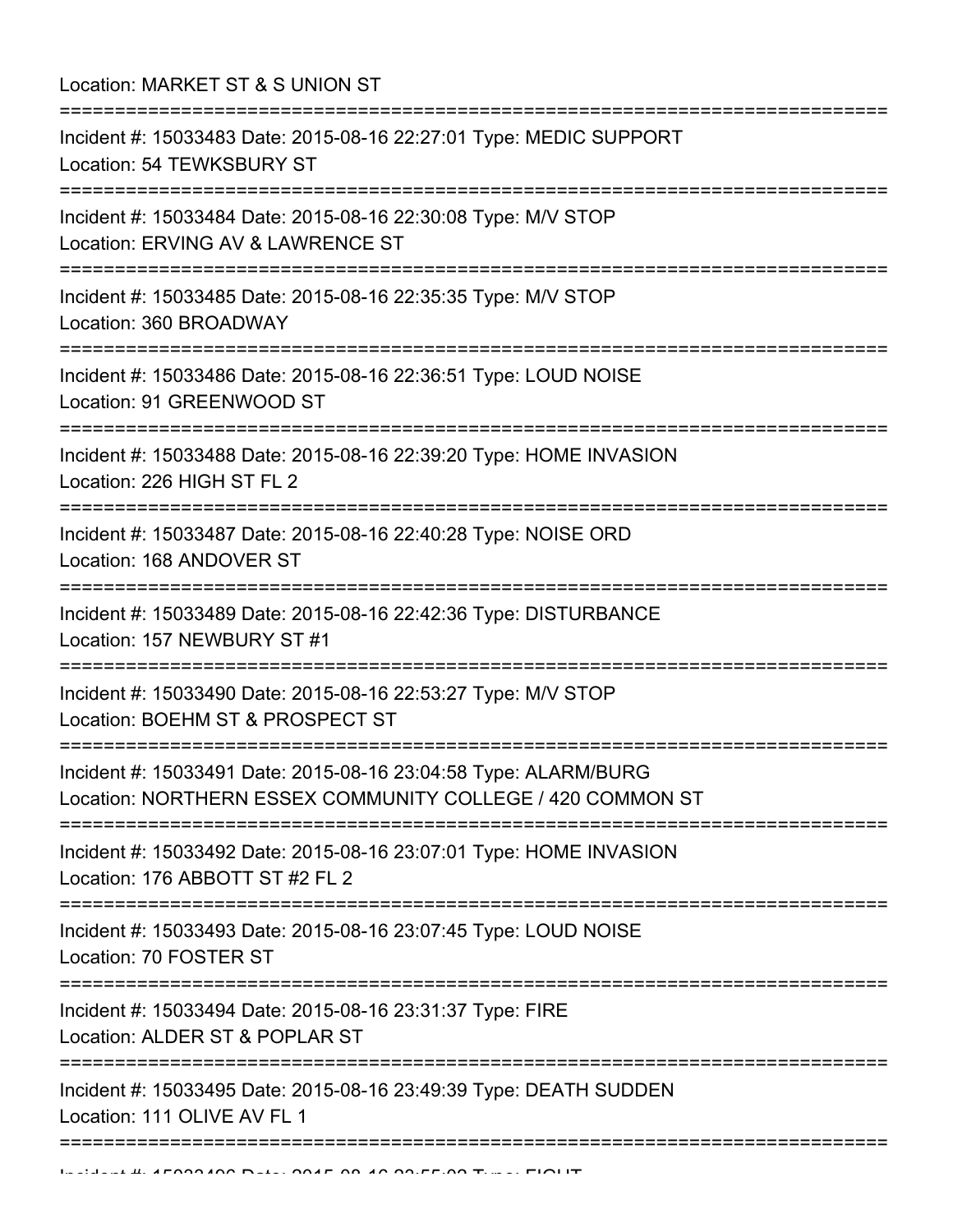| Location: MARKET ST & S UNION ST<br>==========================                                                                        |
|---------------------------------------------------------------------------------------------------------------------------------------|
| Incident #: 15033483 Date: 2015-08-16 22:27:01 Type: MEDIC SUPPORT<br>Location: 54 TEWKSBURY ST                                       |
| Incident #: 15033484 Date: 2015-08-16 22:30:08 Type: M/V STOP<br>Location: ERVING AV & LAWRENCE ST                                    |
| Incident #: 15033485 Date: 2015-08-16 22:35:35 Type: M/V STOP<br>Location: 360 BROADWAY                                               |
| Incident #: 15033486 Date: 2015-08-16 22:36:51 Type: LOUD NOISE<br>Location: 91 GREENWOOD ST<br>------------------------------------- |
| Incident #: 15033488 Date: 2015-08-16 22:39:20 Type: HOME INVASION<br>Location: 226 HIGH ST FL 2                                      |
| Incident #: 15033487 Date: 2015-08-16 22:40:28 Type: NOISE ORD<br>Location: 168 ANDOVER ST                                            |
| Incident #: 15033489 Date: 2015-08-16 22:42:36 Type: DISTURBANCE<br>Location: 157 NEWBURY ST #1                                       |
| Incident #: 15033490 Date: 2015-08-16 22:53:27 Type: M/V STOP<br>Location: BOEHM ST & PROSPECT ST                                     |
| Incident #: 15033491 Date: 2015-08-16 23:04:58 Type: ALARM/BURG<br>Location: NORTHERN ESSEX COMMUNITY COLLEGE / 420 COMMON ST         |
| Incident #: 15033492 Date: 2015-08-16 23:07:01 Type: HOME INVASION<br>Location: 176 ABBOTT ST #2 FL 2                                 |
| Incident #: 15033493 Date: 2015-08-16 23:07:45 Type: LOUD NOISE<br>Location: 70 FOSTER ST                                             |
| Incident #: 15033494 Date: 2015-08-16 23:31:37 Type: FIRE<br>Location: ALDER ST & POPLAR ST                                           |
| Incident #: 15033495 Date: 2015-08-16 23:49:39 Type: DEATH SUDDEN<br>Location: 111 OLIVE AV FL 1                                      |
|                                                                                                                                       |